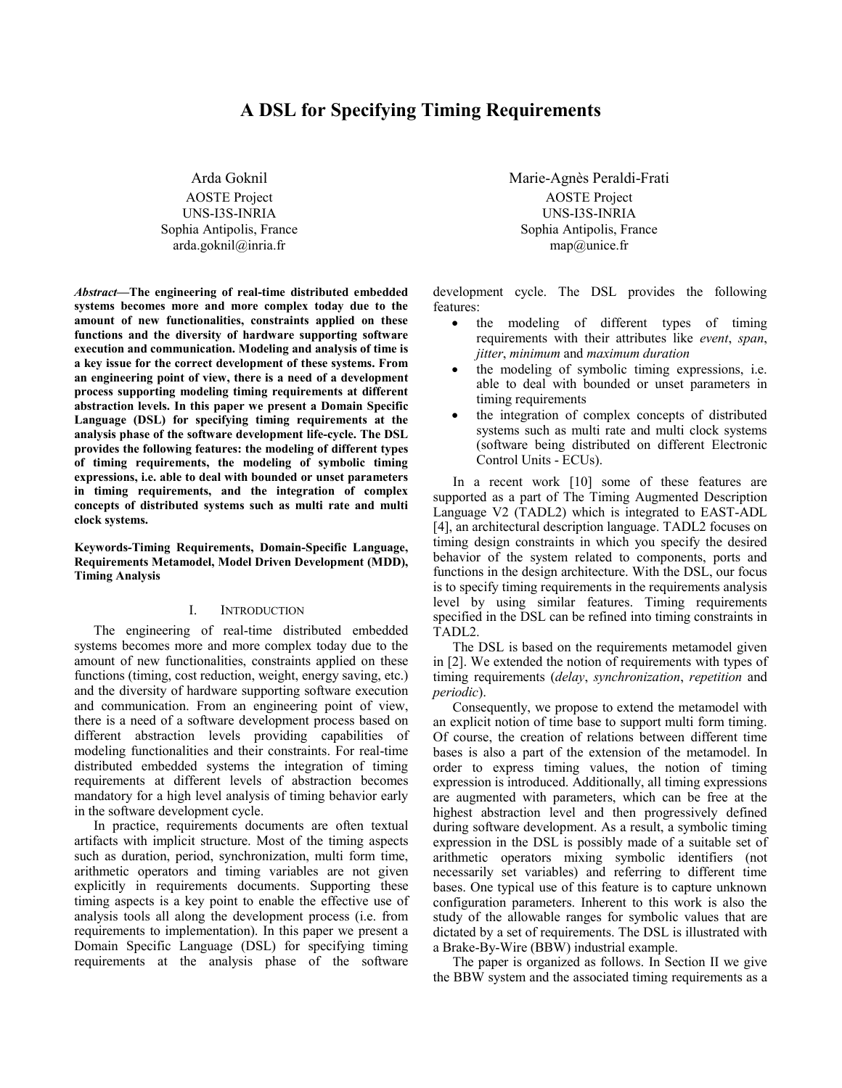# **A DSL for Specifying Timing Requirements**

Arda Goknil AOSTE Project UNS-I3S-INRIA Sophia Antipolis, France arda.goknil@inria.fr

*Abstract***—The engineering of real-time distributed embedded systems becomes more and more complex today due to the amount of new functionalities, constraints applied on these functions and the diversity of hardware supporting software execution and communication. Modeling and analysis of time is a key issue for the correct development of these systems. From an engineering point of view, there is a need of a development process supporting modeling timing requirements at different abstraction levels. In this paper we present a Domain Specific Language (DSL) for specifying timing requirements at the analysis phase of the software development life-cycle. The DSL provides the following features: the modeling of different types of timing requirements, the modeling of symbolic timing expressions, i.e. able to deal with bounded or unset parameters in timing requirements, and the integration of complex concepts of distributed systems such as multi rate and multi clock systems.**

**Keywords-Timing Requirements, Domain-Specific Language, Requirements Metamodel, Model Driven Development (MDD), Timing Analysis**

### I. INTRODUCTION

The engineering of real-time distributed embedded systems becomes more and more complex today due to the amount of new functionalities, constraints applied on these functions (timing, cost reduction, weight, energy saving, etc.) and the diversity of hardware supporting software execution and communication. From an engineering point of view, there is a need of a software development process based on different abstraction levels providing capabilities of modeling functionalities and their constraints. For real-time distributed embedded systems the integration of timing requirements at different levels of abstraction becomes mandatory for a high level analysis of timing behavior early in the software development cycle.

In practice, requirements documents are often textual artifacts with implicit structure. Most of the timing aspects such as duration, period, synchronization, multi form time, arithmetic operators and timing variables are not given explicitly in requirements documents. Supporting these timing aspects is a key point to enable the effective use of analysis tools all along the development process (i.e. from requirements to implementation). In this paper we present a Domain Specific Language (DSL) for specifying timing requirements at the analysis phase of the software

Marie-Agnès Peraldi-Frati AOSTE Project UNS-I3S-INRIA Sophia Antipolis, France map@unice.fr

development cycle. The DSL provides the following features:

- the modeling of different types of timing requirements with their attributes like *event*, *span*, *jitter*, *minimum* and *maximum duration*
- the modeling of symbolic timing expressions, i.e. able to deal with bounded or unset parameters in timing requirements
- the integration of complex concepts of distributed systems such as multi rate and multi clock systems (software being distributed on different Electronic Control Units - ECUs).

In a recent work [\[10\]](#page-8-0) some of these features are supported as a part of The Timing Augmented Description Language V2 (TADL2) which is integrated to EAST-ADL [\[4\],](#page-8-1) an architectural description language. TADL2 focuses on timing design constraints in which you specify the desired behavior of the system related to components, ports and functions in the design architecture. With the DSL, our focus is to specify timing requirements in the requirements analysis level by using similar features. Timing requirements specified in the DSL can be refined into timing constraints in TADL2.

The DSL is based on the requirements metamodel given in [\[2\].](#page-8-2) We extended the notion of requirements with types of timing requirements (*delay*, *synchronization*, *repetition* and *periodic*).

Consequently, we propose to extend the metamodel with an explicit notion of time base to support multi form timing. Of course, the creation of relations between different time bases is also a part of the extension of the metamodel. In order to express timing values, the notion of timing expression is introduced. Additionally, all timing expressions are augmented with parameters, which can be free at the highest abstraction level and then progressively defined during software development. As a result, a symbolic timing expression in the DSL is possibly made of a suitable set of arithmetic operators mixing symbolic identifiers (not necessarily set variables) and referring to different time bases. One typical use of this feature is to capture unknown configuration parameters. Inherent to this work is also the study of the allowable ranges for symbolic values that are dictated by a set of requirements. The DSL is illustrated with a Brake-By-Wire (BBW) industrial example.

The paper is organized as follows. In Section [II](#page-1-0) we give the BBW system and the associated timing requirements as a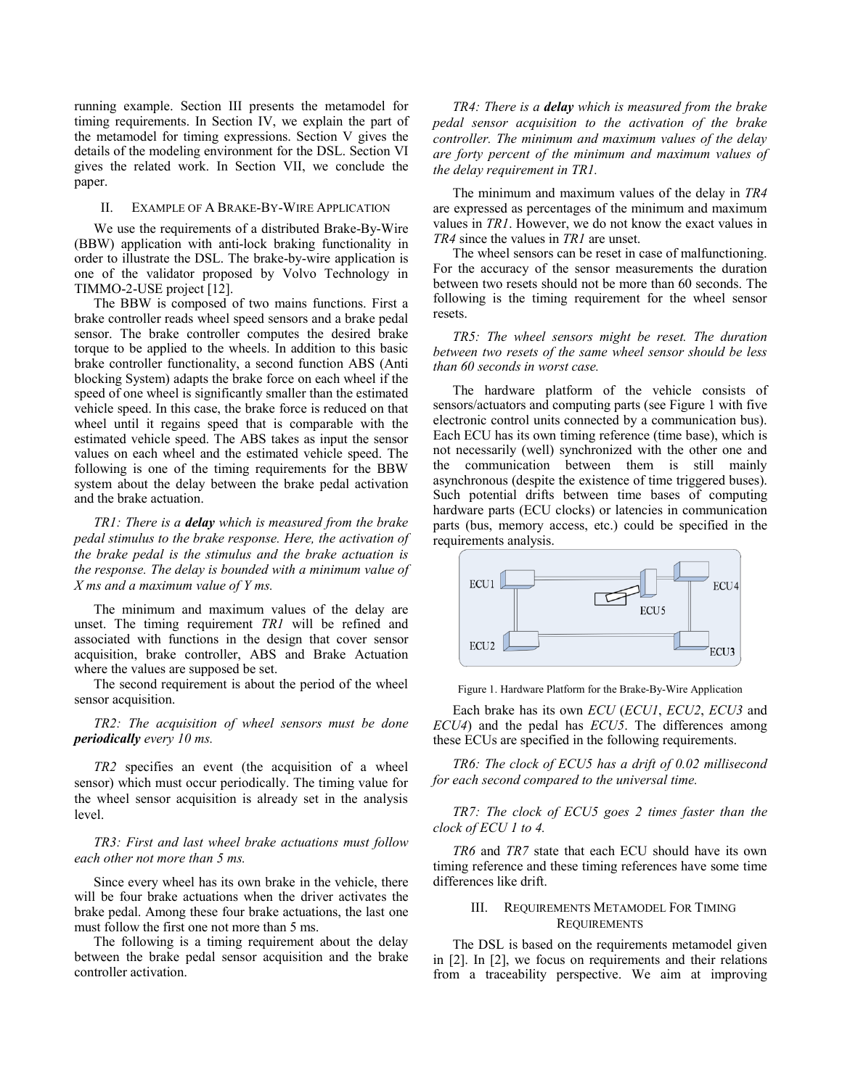running example. Section [III](#page-1-1) presents the metamodel for timing requirements. In Section [IV,](#page-4-0) we explain the part of the metamodel for timing expressions. Section [V](#page-6-0) gives the details of the modeling environment for the DSL. Section [VI](#page-6-1) gives the related work. In Section [VII,](#page-7-0) we conclude the paper.

### <span id="page-1-0"></span>II. EXAMPLE OF A BRAKE-BY-WIRE APPLICATION

We use the requirements of a distributed Brake-By-Wire (BBW) application with anti-lock braking functionality in order to illustrate the DSL. The brake-by-wire application is one of the validator proposed by Volvo Technology in TIMMO-2-USE project [\[12\].](#page-8-3)

The BBW is composed of two mains functions. First a brake controller reads wheel speed sensors and a brake pedal sensor. The brake controller computes the desired brake torque to be applied to the wheels. In addition to this basic brake controller functionality, a second function ABS (Anti blocking System) adapts the brake force on each wheel if the speed of one wheel is significantly smaller than the estimated vehicle speed. In this case, the brake force is reduced on that wheel until it regains speed that is comparable with the estimated vehicle speed. The ABS takes as input the sensor values on each wheel and the estimated vehicle speed. The following is one of the timing requirements for the BBW system about the delay between the brake pedal activation and the brake actuation.

*TR1: There is a delay which is measured from the brake pedal stimulus to the brake response. Here, the activation of the brake pedal is the stimulus and the brake actuation is the response. The delay is bounded with a minimum value of X ms and a maximum value of Y ms.*

The minimum and maximum values of the delay are unset. The timing requirement *TR1* will be refined and associated with functions in the design that cover sensor acquisition, brake controller, ABS and Brake Actuation where the values are supposed be set.

The second requirement is about the period of the wheel sensor acquisition.

*TR2: The acquisition of wheel sensors must be done periodically every 10 ms.*

*TR2* specifies an event (the acquisition of a wheel sensor) which must occur periodically. The timing value for the wheel sensor acquisition is already set in the analysis level.

*TR3: First and last wheel brake actuations must follow each other not more than 5 ms.*

Since every wheel has its own brake in the vehicle, there will be four brake actuations when the driver activates the brake pedal. Among these four brake actuations, the last one must follow the first one not more than 5 ms.

The following is a timing requirement about the delay between the brake pedal sensor acquisition and the brake controller activation.

*TR4: There is a delay which is measured from the brake pedal sensor acquisition to the activation of the brake controller. The minimum and maximum values of the delay are forty percent of the minimum and maximum values of the delay requirement in TR1.*

The minimum and maximum values of the delay in *TR4* are expressed as percentages of the minimum and maximum values in *TR1*. However, we do not know the exact values in *TR4* since the values in *TR1* are unset.

The wheel sensors can be reset in case of malfunctioning. For the accuracy of the sensor measurements the duration between two resets should not be more than 60 seconds. The following is the timing requirement for the wheel sensor resets.

*TR5: The wheel sensors might be reset. The duration between two resets of the same wheel sensor should be less than 60 seconds in worst case.*

The hardware platform of the vehicle consists of sensors/actuators and computing parts (see [Figure 1](#page-1-2) with five electronic control units connected by a communication bus). Each ECU has its own timing reference (time base), which is not necessarily (well) synchronized with the other one and the communication between them is still mainly asynchronous (despite the existence of time triggered buses). Such potential drifts between time bases of computing hardware parts (ECU clocks) or latencies in communication parts (bus, memory access, etc.) could be specified in the requirements analysis.



Figure 1. Hardware Platform for the Brake-By-Wire Application

<span id="page-1-2"></span>Each brake has its own *ECU* (*ECU1*, *ECU2*, *ECU3* and *ECU4*) and the pedal has *ECU5*. The differences among these ECUs are specified in the following requirements.

*TR6: The clock of ECU5 has a drift of 0.02 millisecond for each second compared to the universal time.* 

*TR7: The clock of ECU5 goes 2 times faster than the clock of ECU 1 to 4.*

*TR6* and *TR7* state that each ECU should have its own timing reference and these timing references have some time differences like drift.

### <span id="page-1-1"></span>III. REQUIREMENTS METAMODEL FOR TIMING **REQUIREMENTS**

The DSL is based on the requirements metamodel given in [\[2\].](#page-8-2) In [\[2\],](#page-8-2) we focus on requirements and their relations from a traceability perspective. We aim at improving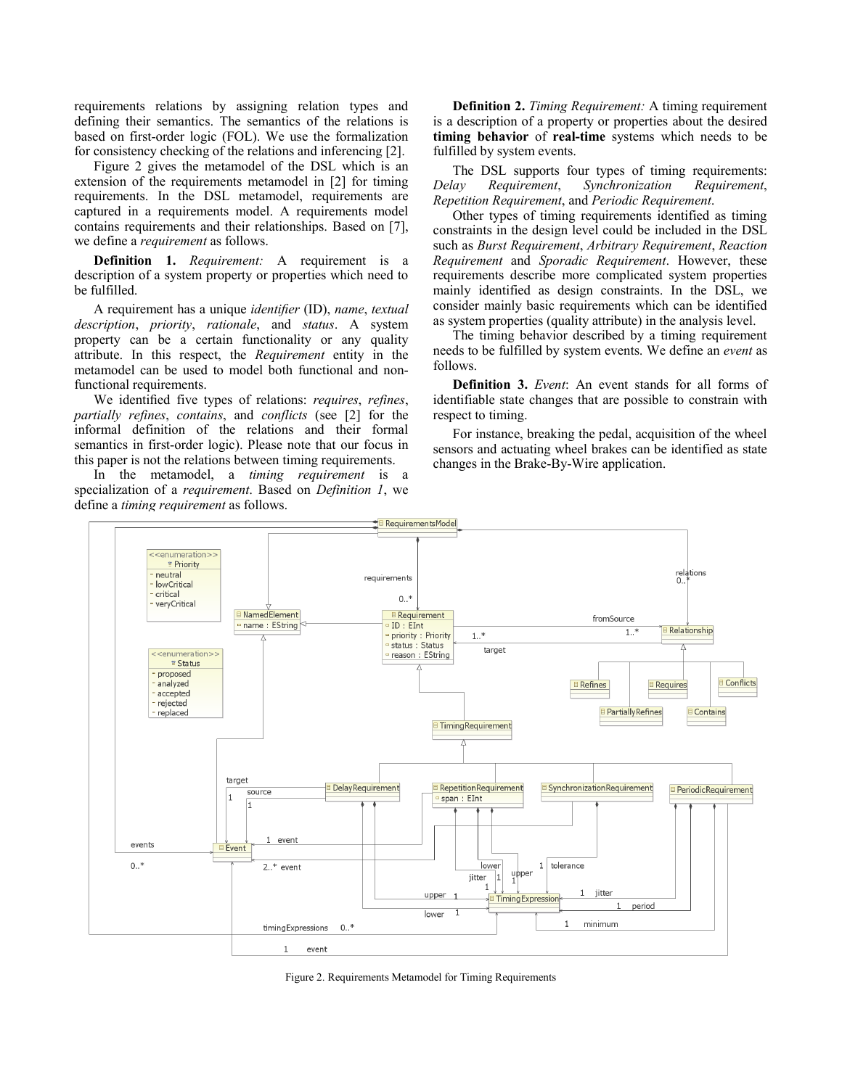requirements relations by assigning relation types and defining their semantics. The semantics of the relations is based on first-order logic (FOL). We use the formalization for consistency checking of the relations and inferencing [\[2\].](#page-8-2)

[Figure 2](#page-2-0) gives the metamodel of the DSL which is an extension of the requirements metamodel in [\[2\]](#page-8-2) for timing requirements. In the DSL metamodel, requirements are captured in a requirements model. A requirements model contains requirements and their relationships. Based on [\[7\],](#page-8-4) we define a *requirement* as follows.

**Definition 1.** *Requirement:* A requirement is a description of a system property or properties which need to be fulfilled.

A requirement has a unique *identifier* (ID), *name*, *textual description*, *priority*, *rationale*, and *status*. A system property can be a certain functionality or any quality attribute. In this respect, the *Requirement* entity in the metamodel can be used to model both functional and nonfunctional requirements.

We identified five types of relations: *requires*, *refines*, *partially refines*, *contains*, and *conflicts* (see [\[2\]](#page-8-2) for the informal definition of the relations and their formal semantics in first-order logic). Please note that our focus in this paper is not the relations between timing requirements.

In the metamodel, a *timing requirement* is a specialization of a *requirement*. Based on *Definition 1*, we define a *timing requirement* as follows.

**Definition 2.** *Timing Requirement:* A timing requirement is a description of a property or properties about the desired **timing behavior** of **real-time** systems which needs to be fulfilled by system events.

The DSL supports four types of timing requirements: *Delay Requirement*, *Synchronization Requirement*, *Repetition Requirement*, and *Periodic Requirement*.

Other types of timing requirements identified as timing constraints in the design level could be included in the DSL such as *Burst Requirement*, *Arbitrary Requirement*, *Reaction Requirement* and *Sporadic Requirement*. However, these requirements describe more complicated system properties mainly identified as design constraints. In the DSL, we consider mainly basic requirements which can be identified as system properties (quality attribute) in the analysis level.

The timing behavior described by a timing requirement needs to be fulfilled by system events. We define an *event* as follows.

**Definition 3.** *Event*: An event stands for all forms of identifiable state changes that are possible to constrain with respect to timing.

For instance, breaking the pedal, acquisition of the wheel sensors and actuating wheel brakes can be identified as state changes in the Brake-By-Wire application.



<span id="page-2-0"></span>Figure 2. Requirements Metamodel for Timing Requirements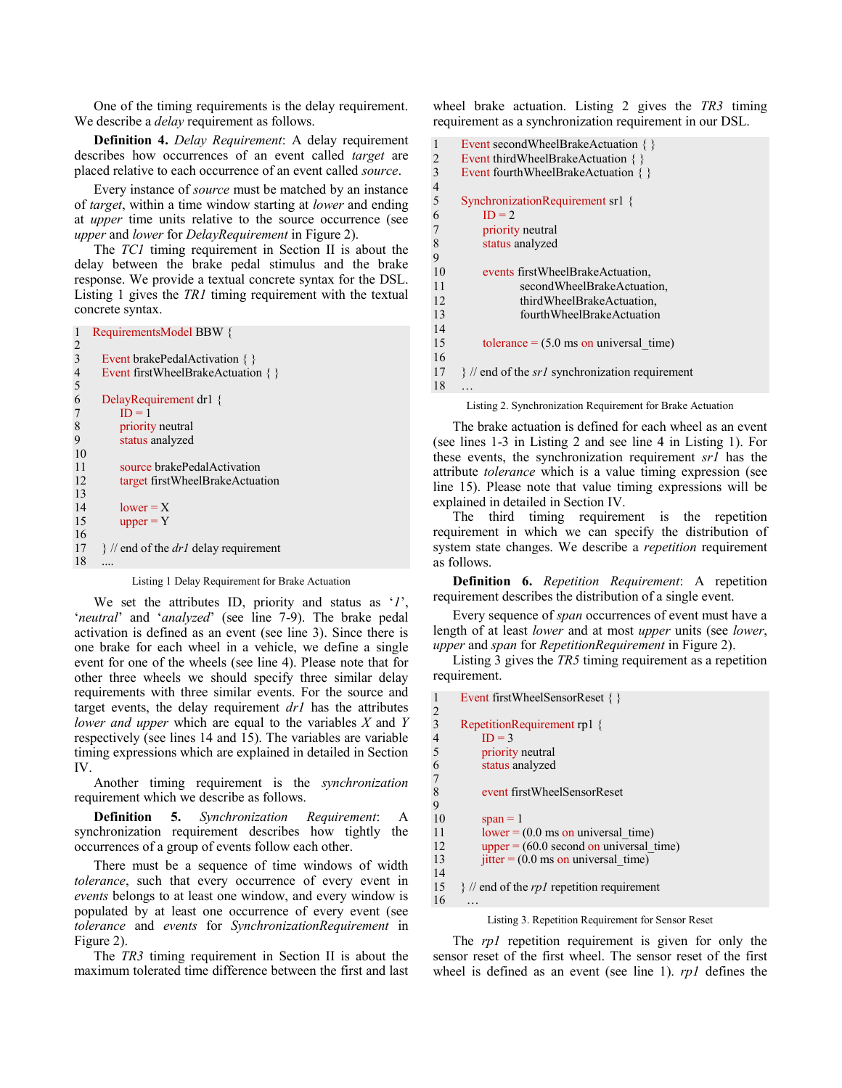One of the timing requirements is the delay requirement. We describe a *delay* requirement as follows.

**Definition 4.** *Delay Requirement*: A delay requirement describes how occurrences of an event called *target* are placed relative to each occurrence of an event called *source*.

Every instance of *source* must be matched by an instance of *target*, within a time window starting at *lower* and ending at *upper* time units relative to the source occurrence (see *upper* and *lower* for *DelayRequirement* in [Figure 2\)](#page-2-0).

The *TC1* timing requirement in Section [II](#page-1-0) is about the delay between the brake pedal stimulus and the brake response. We provide a textual concrete syntax for the DSL. Listing 1 gives the *TR1* timing requirement with the textual concrete syntax.

```
1 RequirementsModel BBW {
\frac{2}{3}Event brakePedalActivation { }
4 Event firstWheelBrakeActuation { }
5 
6 DelayRequirement dr1 \{<br>7 ID = 1
7 ID = 1<br>8 priorit
8 priority neutral<br>9 status analyzed
         status analyzed
10 
11 source brakePedalActivation
12 target firstWheelBrakeActuation
13 
14 lower = X15 upper = Y16 
17 } // end of the dr1 delay requirement
18
```
Listing 1 Delay Requirement for Brake Actuation

We set the attributes ID, priority and status as '*1*', '*neutral*' and '*analyzed*' (see line 7-9). The brake pedal activation is defined as an event (see line 3). Since there is one brake for each wheel in a vehicle, we define a single event for one of the wheels (see line 4). Please note that for other three wheels we should specify three similar delay requirements with three similar events. For the source and target events, the delay requirement *dr1* has the attributes *lower and upper* which are equal to the variables *X* and *Y* respectively (see lines 14 and 15). The variables are variable timing expressions which are explained in detailed in Section [IV.](#page-4-0)

Another timing requirement is the *synchronization* requirement which we describe as follows.

**Definition 5.** *Synchronization Requirement*: A synchronization requirement describes how tightly the occurrences of a group of events follow each other.

There must be a sequence of time windows of width *tolerance*, such that every occurrence of every event in *events* belongs to at least one window, and every window is populated by at least one occurrence of every event (see *tolerance* and *events* for *SynchronizationRequirement* in [Figure 2\)](#page-2-0).

The *TR3* timing requirement in Section [II](#page-1-0) is about the maximum tolerated time difference between the first and last

wheel brake actuation. Listing 2 gives the *TR3* timing requirement as a synchronization requirement in our DSL.

| 1                       | Event second Wheel Brake Actuation { }             |
|-------------------------|----------------------------------------------------|
| $\overline{\mathbf{c}}$ | Event third Wheel Brake Actuation $\{\}$           |
| 3                       | Event fourthWheelBrakeActuation { }                |
| 4                       |                                                    |
| 5                       | SynchronizationRequirement sr1 {                   |
| 6                       | $ID = 2$                                           |
| 7                       | priority neutral                                   |
| 8                       | status analyzed                                    |
| 9                       |                                                    |
| 10                      | events first Wheel Brake Actuation.                |
| 11                      | second Wheel Brake Actuation,                      |
| 12                      | thirdWheelBrakeActuation.                          |
| 13                      | fourth Wheel Brake Actuation                       |
| 14                      |                                                    |
| 15                      | tolerance $= (5.0 \text{ ms on universal time})$   |
| 16                      |                                                    |
| 17                      | $\}$ // end of the sr1 synchronization requirement |
| 18                      | .                                                  |

Listing 2. Synchronization Requirement for Brake Actuation

The brake actuation is defined for each wheel as an event (see lines 1-3 in Listing 2 and see line 4 in Listing 1). For these events, the synchronization requirement *sr1* has the attribute *tolerance* which is a value timing expression (see line 15). Please note that value timing expressions will be explained in detailed in Section [IV.](#page-4-0)

The third timing requirement is the repetition requirement in which we can specify the distribution of system state changes. We describe a *repetition* requirement as follows.

**Definition 6.** *Repetition Requirement*: A repetition requirement describes the distribution of a single event.

Every sequence of *span* occurrences of event must have a length of at least *lower* and at most *upper* units (see *lower*, *upper* and *span* for *RepetitionRequirement* in [Figure 2\)](#page-2-0).

Listing 3 gives the *TR5* timing requirement as a repetition requirement.

```
1 Event firstWheelSensorReset { }
\frac{2}{3}3 RepetitionRequirement rp1 {<br>\text{ID} = 3ID = 35 priority neutral
6 status analyzed
\begin{array}{c} 7 \\ 8 \end{array}event firstWheelSensorReset
9 
10 span = 1
11 lower = (0.0 \text{ ms on universal time})12 upper = (60.0 \text{ second on universal time})13 jitter = (0.0 \text{ ms on universal time})14 
15 } // end of the rp1 repetition requirement
16 …
```
#### Listing 3. Repetition Requirement for Sensor Reset

The *rp1* repetition requirement is given for only the sensor reset of the first wheel. The sensor reset of the first wheel is defined as an event (see line 1). *rp1* defines the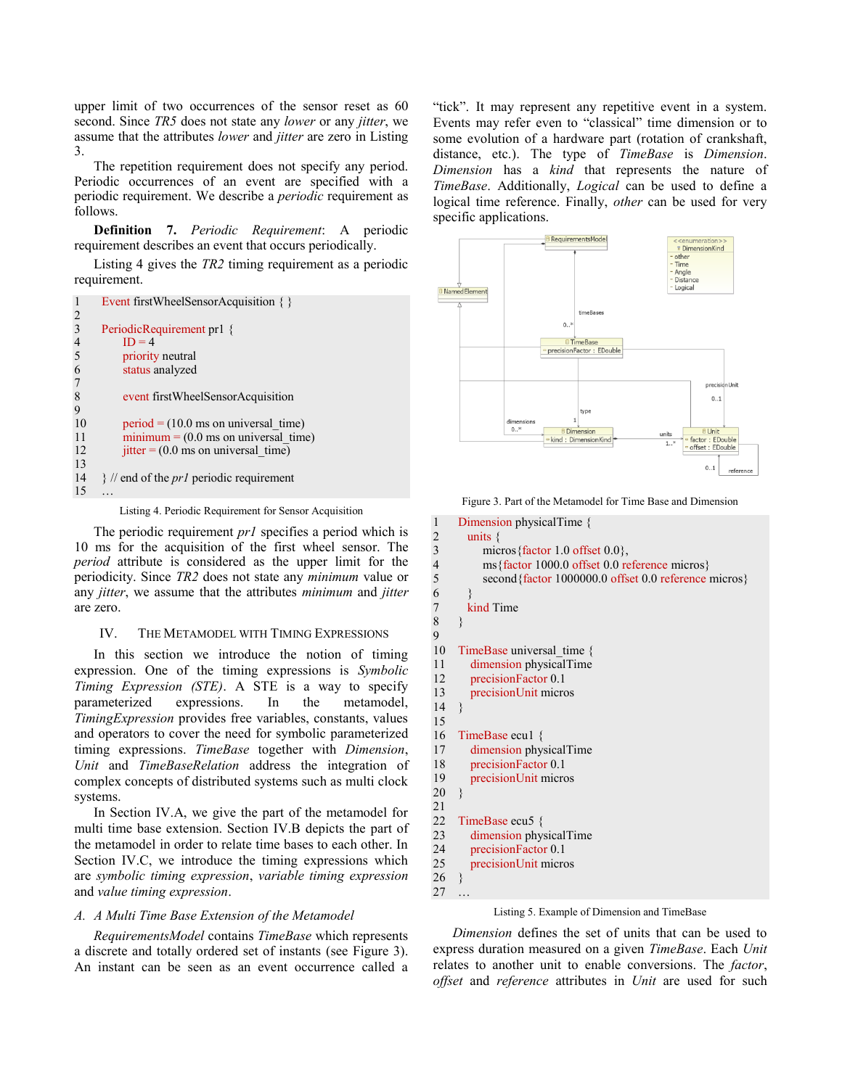upper limit of two occurrences of the sensor reset as 60 second. Since *TR5* does not state any *lower* or any *jitter*, we assume that the attributes *lower* and *jitter* are zero in Listing 3.

The repetition requirement does not specify any period. Periodic occurrences of an event are specified with a periodic requirement. We describe a *periodic* requirement as follows.

**Definition 7.** *Periodic Requirement*: A periodic requirement describes an event that occurs periodically.

Listing 4 gives the *TR2* timing requirement as a periodic requirement.

```
1 Event firstWheelSensorAcquisition { }
\frac{2}{3}3 PeriodicRequirement pr1 {<br>4 ID = 4
4 ID = 4<br>5 priority
           priority neutral
6 status analyzed
\begin{array}{c} 7 \\ 8 \end{array}event firstWheelSensorAcquisition
9 
10 period = (10.0 \text{ ms on universal time})11 minimum = (0.0 \text{ ms on universal time})12 jitter = (0.0 \text{ ms on universal time})13 
14 } // end of the pr1 periodic requirement
15 …
```
Listing 4. Periodic Requirement for Sensor Acquisition

The periodic requirement *pr1* specifies a period which is 10 ms for the acquisition of the first wheel sensor. The *period* attribute is considered as the upper limit for the periodicity. Since *TR2* does not state any *minimum* value or any *jitter*, we assume that the attributes *minimum* and *jitter* are zero.

# <span id="page-4-0"></span>IV. THE METAMODEL WITH TIMING EXPRESSIONS

In this section we introduce the notion of timing expression. One of the timing expressions is *Symbolic Timing Expression (STE)*. A STE is a way to specify parameterized expressions. In the metamodel, *TimingExpression* provides free variables, constants, values and operators to cover the need for symbolic parameterized timing expressions. *TimeBase* together with *Dimension*, *Unit* and *TimeBaseRelation* address the integration of complex concepts of distributed systems such as multi clock systems.

In Section [IV.A,](#page-4-1) we give the part of the metamodel for multi time base extension. Section [IV.B](#page-5-0) depicts the part of the metamodel in order to relate time bases to each other. In Section [IV.C,](#page-5-1) we introduce the timing expressions which are *symbolic timing expression*, *variable timing expression* and *value timing expression*.

### <span id="page-4-1"></span>*A. A Multi Time Base Extension of the Metamodel*

*RequirementsModel* contains *TimeBase* which represents a discrete and totally ordered set of instants (see [Figure 3\)](#page-4-2). An instant can be seen as an event occurrence called a "tick". It may represent any repetitive event in a system. Events may refer even to "classical" time dimension or to some evolution of a hardware part (rotation of crankshaft, distance, etc.). The type of *TimeBase* is *Dimension*. *Dimension* has a *kind* that represents the nature of *TimeBase*. Additionally, *Logical* can be used to define a logical time reference. Finally, *other* can be used for very specific applications.



Figure 3. Part of the Metamodel for Time Base and Dimension

```
1 Dimension physicalTime {
\begin{array}{ccc} 2 & \text{units} & \text{2} \\ 3 & \text{mic} \end{array}micros {factor 1.0 offset 0.0},
4 ms{factor 1000.0 offset 0.0 reference micros}
5 second{factor 1000000.0 offset 0.0 reference micros}
6 }
\begin{array}{cc} 7 & \text{kind Time} \\ 8 & \text{ } \end{array}8 }
9 
10 TimeBase universal time {
11 dimension physicalTime
12 precisionFactor 0.1
13 precisionUnit micros
14 }
15 
16 TimeBase ecu1 {
17 dimension physicalTime
18 precisionFactor 0.1
19 precisionUnit micros
20 \quad21
22 TimeBase ecu5 {
23 dimension physicalTime
24 precisionFactor 0.1
25 precisionUnit micros
26 }
27 …
```
Listing 5. Example of Dimension and TimeBase

*Dimension* defines the set of units that can be used to express duration measured on a given *TimeBase*. Each *Unit* relates to another unit to enable conversions. The *factor*, *offset* and *reference* attributes in *Unit* are used for such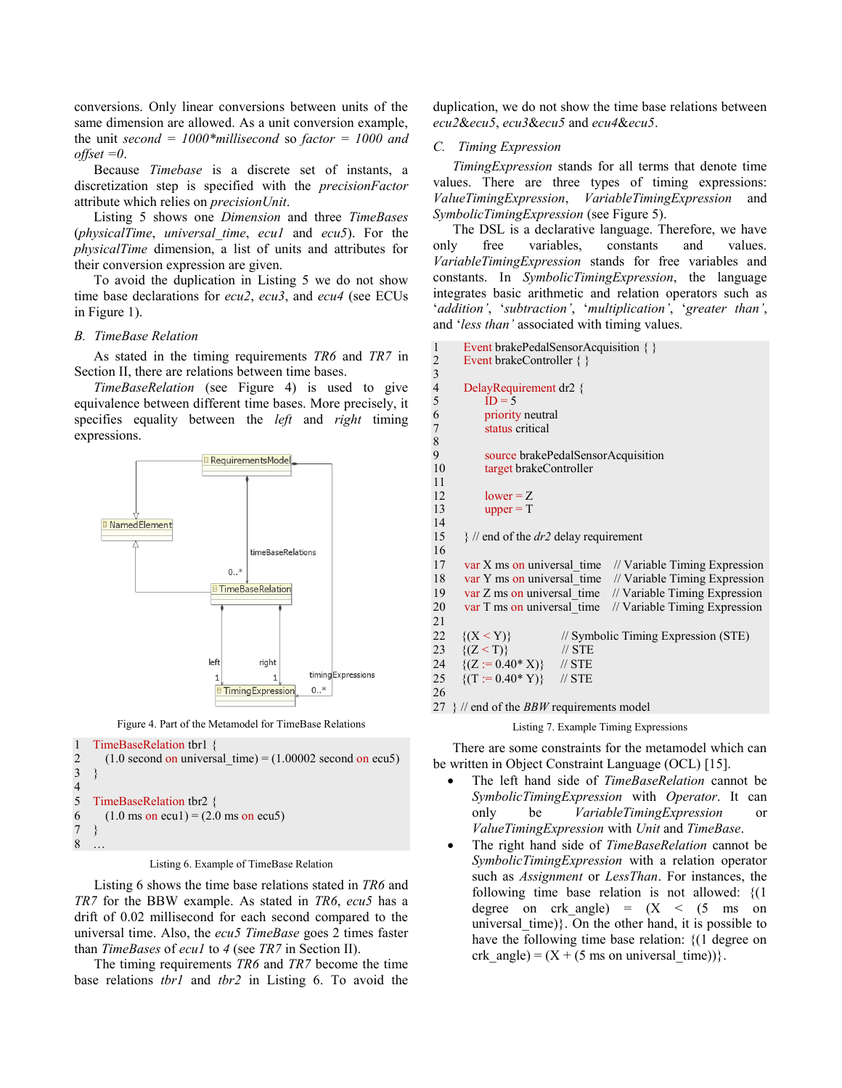conversions. Only linear conversions between units of the same dimension are allowed. As a unit conversion example, the unit *second = 1000\*millisecond* so *factor = 1000 and offset =0*.

Because *Timebase* is a discrete set of instants, a discretization step is specified with the *precisionFactor* attribute which relies on *precisionUnit*.

Listing 5 shows one *Dimension* and three *TimeBases* (*physicalTime*, *universal\_time*, *ecu1* and *ecu5*). For the *physicalTime* dimension, a list of units and attributes for their conversion expression are given.

To avoid the duplication in Listing 5 we do not show time base declarations for *ecu2*, *ecu3*, and *ecu4* (see ECUs in [Figure 1\)](#page-1-2).

#### <span id="page-5-0"></span>*B. TimeBase Relation*

As stated in the timing requirements *TR6* and *TR7* in Section [II,](#page-1-0) there are relations between time bases.

*TimeBaseRelation* (see [Figure 4\)](#page-5-2) is used to give equivalence between different time bases. More precisely, it specifies equality between the *left* and *right* timing expressions.



Figure 4. Part of the Metamodel for TimeBase Relations

```
1 TimeBaseRelation tbr1 {
2 (1.0 second on universal time) = (1.00002 second on ecu5)
3 } 
\frac{4}{5}5 TimeBaseRelation tbr2 {
6 (1.0 ms on ecu1) = (2.0 \text{ ms on } \text{eu1})7 }
8 …
```
Listing 6. Example of TimeBase Relation

Listing 6 shows the time base relations stated in *TR6* and *TR7* for the BBW example. As stated in *TR6*, *ecu5* has a drift of 0.02 millisecond for each second compared to the universal time. Also, the *ecu5 TimeBase* goes 2 times faster than *TimeBases* of *ecu1* to *4* (see *TR7* in Section [II\)](#page-1-0).

The timing requirements *TR6* and *TR7* become the time base relations *tbr1* and *tbr2* in Listing 6. To avoid the duplication, we do not show the time base relations between *ecu2*&*ecu5*, *ecu3*&*ecu5* and *ecu4*&*ecu5*.

### <span id="page-5-1"></span>*C. Timing Expression*

 $\frac{2}{3}$ 

*TimingExpression* stands for all terms that denote time values. There are three types of timing expressions: *ValueTimingExpression*, *VariableTimingExpression* and *SymbolicTimingExpression* (se[e Figure 5\)](#page-6-2).

The DSL is a declarative language. Therefore, we have only free variables, constants and values. *VariableTimingExpression* stands for free variables and constants. In *SymbolicTimingExpression*, the language integrates basic arithmetic and relation operators such as '*addition'*, '*subtraction'*, '*multiplication'*, '*greater than'*, and '*less than'* associated with timing values.

| Event brakePedalSensorAcquisition { }                         |
|---------------------------------------------------------------|
| Event brakeController { }                                     |
|                                                               |
| DelayRequirement dr2 {                                        |
| $ID = 5$                                                      |
| priority neutral                                              |
| status critical                                               |
|                                                               |
| source brakePedalSensorAcquisition                            |
| target brakeController                                        |
|                                                               |
| $lower = Z$                                                   |
| $upper = T$                                                   |
|                                                               |
| $\}$ // end of the <i>dr2</i> delay requirement               |
|                                                               |
| $var X$ ms on universal time<br>// Variable Timing Expression |
| // Variable Timing Expression<br>var Y ms on universal time   |
| // Variable Timing Expression<br>var Z ms on universal time   |
| // Variable Timing Expression<br>var T ms on universal time   |
|                                                               |
| 22<br>// Symbolic Timing Expression (STE)<br>$\{(X \le Y)\}\$ |
| 23 $\{(Z < T)\}\$<br>$\frac{1}{10}$ STE                       |
| 24 $\{(Z := 0.40 * X)\}\$ // STE                              |
| $\{(T := 0.40* Y)\}\$ // STE                                  |
|                                                               |
| $\}$ // end of the <i>BBW</i> requirements model              |
| Listing 7. Example Timing Expressions                         |
|                                                               |

There are some constraints for the metamodel which can be written in Object Constraint Language (OCL) [\[15\].](#page-8-5)

- The left hand side of *TimeBaseRelation* cannot be *SymbolicTimingExpression* with *Operator*. It can only be *VariableTimingExpression* or *ValueTimingExpression* with *Unit* and *TimeBase*.
- The right hand side of *TimeBaseRelation* cannot be *SymbolicTimingExpression* with a relation operator such as *Assignment* or *LessThan*. For instances, the following time base relation is not allowed: {(1 degree on crk angle) =  $(X \lt (5 \text{ ms on})$ universal  $time$ ). On the other hand, it is possible to have the following time base relation: {(1 degree on crk angle) =  $(X + (5 \text{ ms on universal time}))$ .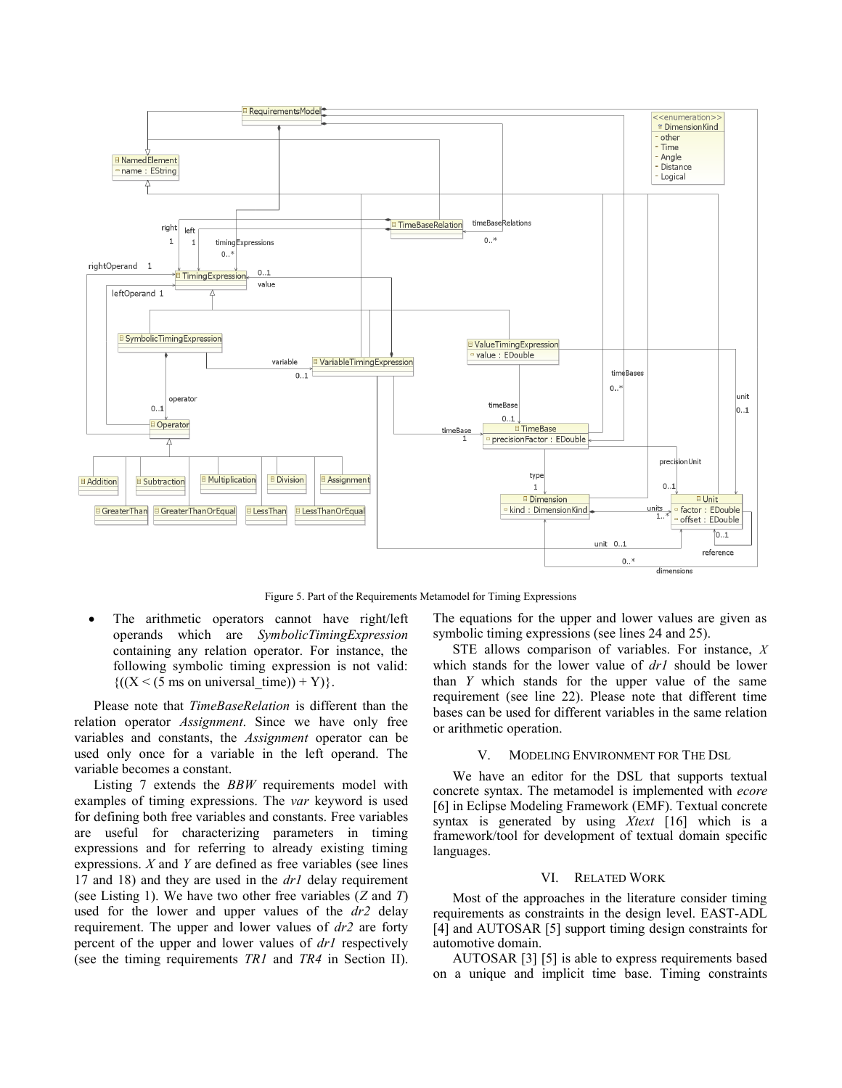

Figure 5. Part of the Requirements Metamodel for Timing Expressions

<span id="page-6-2"></span> The arithmetic operators cannot have right/left operands which are *SymbolicTimingExpression* containing any relation operator. For instance, the following symbolic timing expression is not valid:  $\{(X \leq (5 \text{ ms on universal time})) + Y)\}.$ 

Please note that *TimeBaseRelation* is different than the relation operator *Assignment*. Since we have only free variables and constants, the *Assignment* operator can be used only once for a variable in the left operand. The variable becomes a constant.

Listing 7 extends the *BBW* requirements model with examples of timing expressions. The *var* keyword is used for defining both free variables and constants. Free variables are useful for characterizing parameters in timing expressions and for referring to already existing timing expressions. *X* and *Y* are defined as free variables (see lines 17 and 18) and they are used in the *dr1* delay requirement (see Listing 1). We have two other free variables (*Z* and *T*) used for the lower and upper values of the *dr2* delay requirement. The upper and lower values of *dr2* are forty percent of the upper and lower values of *dr1* respectively (see the timing requirements *TR1* and *TR4* in Section [II\)](#page-1-0). The equations for the upper and lower values are given as symbolic timing expressions (see lines 24 and 25).

STE allows comparison of variables. For instance, *X* which stands for the lower value of *dr1* should be lower than *Y* which stands for the upper value of the same requirement (see line 22). Please note that different time bases can be used for different variables in the same relation or arithmetic operation.

# V. MODELING ENVIRONMENT FOR THE DSL

<span id="page-6-0"></span>We have an editor for the DSL that supports textual concrete syntax. The metamodel is implemented with *ecore* [\[6\]](#page-8-6) in Eclipse Modeling Framework (EMF). Textual concrete syntax is generated by using *Xtext* [\[16\]](#page-8-7) which is a framework/tool for development of textual domain specific languages.

### VI. RELATED WORK

<span id="page-6-1"></span>Most of the approaches in the literature consider timing requirements as constraints in the design level. EAST-ADL [\[4\]](#page-8-1) and AUTOSAR [\[5\]](#page-8-8) support timing design constraints for automotive domain.

AUTOSAR [\[3\]](#page-8-9) [\[5\]](#page-8-8) is able to express requirements based on a unique and implicit time base. Timing constraints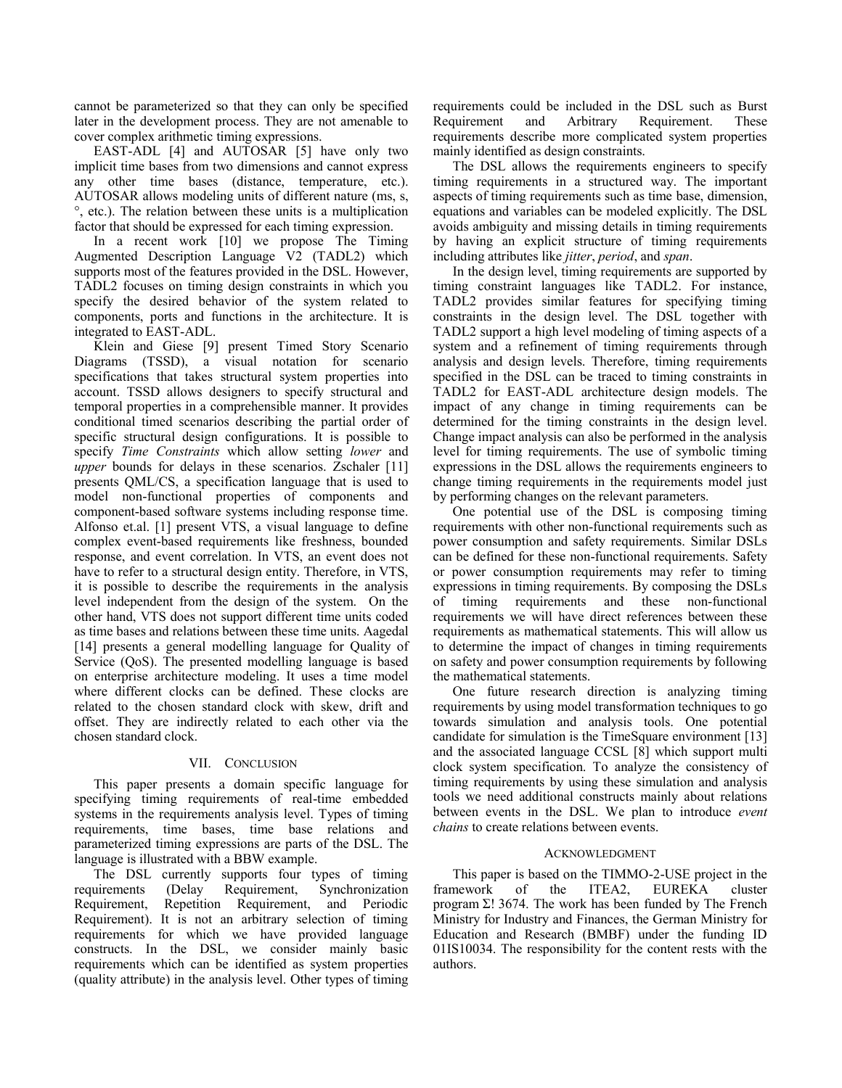cannot be parameterized so that they can only be specified later in the development process. They are not amenable to cover complex arithmetic timing expressions.

EAST-ADL [\[4\]](#page-8-1) and AUTOSAR [\[5\]](#page-8-8) have only two implicit time bases from two dimensions and cannot express any other time bases (distance, temperature, etc.). AUTOSAR allows modeling units of different nature (ms, s, °, etc.). The relation between these units is a multiplication factor that should be expressed for each timing expression.

In a recent work [\[10\]](#page-8-0) we propose The Timing Augmented Description Language V2 (TADL2) which supports most of the features provided in the DSL. However, TADL2 focuses on timing design constraints in which you specify the desired behavior of the system related to components, ports and functions in the architecture. It is integrated to EAST-ADL.

Klein and Giese [\[9\]](#page-8-10) present Timed Story Scenario Diagrams (TSSD), a visual notation for scenario specifications that takes structural system properties into account. TSSD allows designers to specify structural and temporal properties in a comprehensible manner. It provides conditional timed scenarios describing the partial order of specific structural design configurations. It is possible to specify *Time Constraints* which allow setting *lower* and *upper* bounds for delays in these scenarios. Zschaler [\[11\]](#page-8-11) presents QML/CS, a specification language that is used to model non-functional properties of components and component-based software systems including response time. Alfonso et.al. [\[1\]](#page-8-12) present VTS, a visual language to define complex event-based requirements like freshness, bounded response, and event correlation. In VTS, an event does not have to refer to a structural design entity. Therefore, in VTS, it is possible to describe the requirements in the analysis level independent from the design of the system. On the other hand, VTS does not support different time units coded as time bases and relations between these time units. Aagedal [\[14\]](#page-8-13) presents a general modelling language for Quality of Service (QoS). The presented modelling language is based on enterprise architecture modeling. It uses a time model where different clocks can be defined. These clocks are related to the chosen standard clock with skew, drift and offset. They are indirectly related to each other via the chosen standard clock.

# VII. CONCLUSION

<span id="page-7-0"></span>This paper presents a domain specific language for specifying timing requirements of real-time embedded systems in the requirements analysis level. Types of timing requirements, time bases, time base relations and parameterized timing expressions are parts of the DSL. The language is illustrated with a BBW example.

The DSL currently supports four types of timing requirements (Delay Requirement, Synchronization Requirement, Repetition Requirement, and Periodic Requirement). It is not an arbitrary selection of timing requirements for which we have provided language constructs. In the DSL, we consider mainly basic requirements which can be identified as system properties (quality attribute) in the analysis level. Other types of timing

requirements could be included in the DSL such as Burst Requirement and Arbitrary Requirement. These requirements describe more complicated system properties mainly identified as design constraints.

The DSL allows the requirements engineers to specify timing requirements in a structured way. The important aspects of timing requirements such as time base, dimension, equations and variables can be modeled explicitly. The DSL avoids ambiguity and missing details in timing requirements by having an explicit structure of timing requirements including attributes like *jitter*, *period*, and *span*.

In the design level, timing requirements are supported by timing constraint languages like TADL2. For instance, TADL2 provides similar features for specifying timing constraints in the design level. The DSL together with TADL2 support a high level modeling of timing aspects of a system and a refinement of timing requirements through analysis and design levels. Therefore, timing requirements specified in the DSL can be traced to timing constraints in TADL2 for EAST-ADL architecture design models. The impact of any change in timing requirements can be determined for the timing constraints in the design level. Change impact analysis can also be performed in the analysis level for timing requirements. The use of symbolic timing expressions in the DSL allows the requirements engineers to change timing requirements in the requirements model just by performing changes on the relevant parameters.

One potential use of the DSL is composing timing requirements with other non-functional requirements such as power consumption and safety requirements. Similar DSLs can be defined for these non-functional requirements. Safety or power consumption requirements may refer to timing expressions in timing requirements. By composing the DSLs of timing requirements and these non-functional requirements we will have direct references between these requirements as mathematical statements. This will allow us to determine the impact of changes in timing requirements on safety and power consumption requirements by following the mathematical statements.

One future research direction is analyzing timing requirements by using model transformation techniques to go towards simulation and analysis tools. One potential candidate for simulation is the TimeSquare environment [\[13\]](#page-8-14) and the associated language CCSL [\[8\]](#page-8-15) which support multi clock system specification. To analyze the consistency of timing requirements by using these simulation and analysis tools we need additional constructs mainly about relations between events in the DSL. We plan to introduce *event chains* to create relations between events.

### ACKNOWLEDGMENT

This paper is based on the TIMMO-2-USE project in the framework of the ITEA2, EUREKA cluster program Σ! 3674. The work has been funded by The French Ministry for Industry and Finances, the German Ministry for Education and Research (BMBF) under the funding ID 01IS10034. The responsibility for the content rests with the authors.